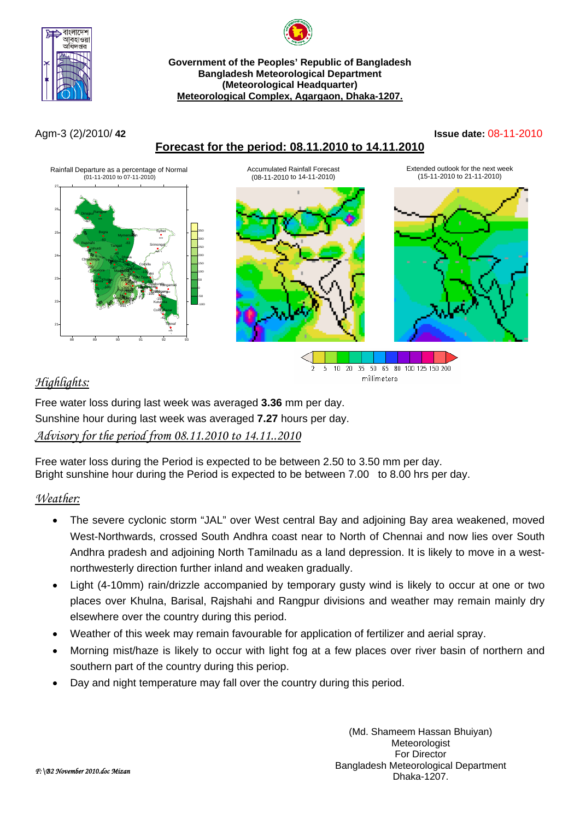



#### **Government of the Peoples' Republic of Bangladesh Bangladesh Meteorological Department (Meteorological Headquarter) Meteorological Complex, Agargaon, Dhaka-1207.**

# **Forecast for the period: 08.11.2010 to 14.11.2010**

#### Agm-3 (2)/2010/ **42 Issue date:** 08-11-2010



# *Highlights:*



Free water loss during last week was averaged **3.36** mm per day. Sunshine hour during last week was averaged **7.27** hours per day. *Advisory for the period from 08.11.2010 to 14.11..2010*

Free water loss during the Period is expected to be between 2.50 to 3.50 mm per day. Bright sunshine hour during the Period is expected to be between 7.00 to 8.00 hrs per day.

# *Weather:*

- The severe cyclonic storm "JAL" over West central Bay and adjoining Bay area weakened, moved West-Northwards, crossed South Andhra coast near to North of Chennai and now lies over South Andhra pradesh and adjoining North Tamilnadu as a land depression. It is likely to move in a westnorthwesterly direction further inland and weaken gradually.
- Light (4-10mm) rain/drizzle accompanied by temporary gusty wind is likely to occur at one or two places over Khulna, Barisal, Rajshahi and Rangpur divisions and weather may remain mainly dry elsewhere over the country during this period.
- Weather of this week may remain favourable for application of fertilizer and aerial spray.
- Morning mist/haze is likely to occur with light fog at a few places over river basin of northern and southern part of the country during this periop.
- Day and night temperature may fall over the country during this period.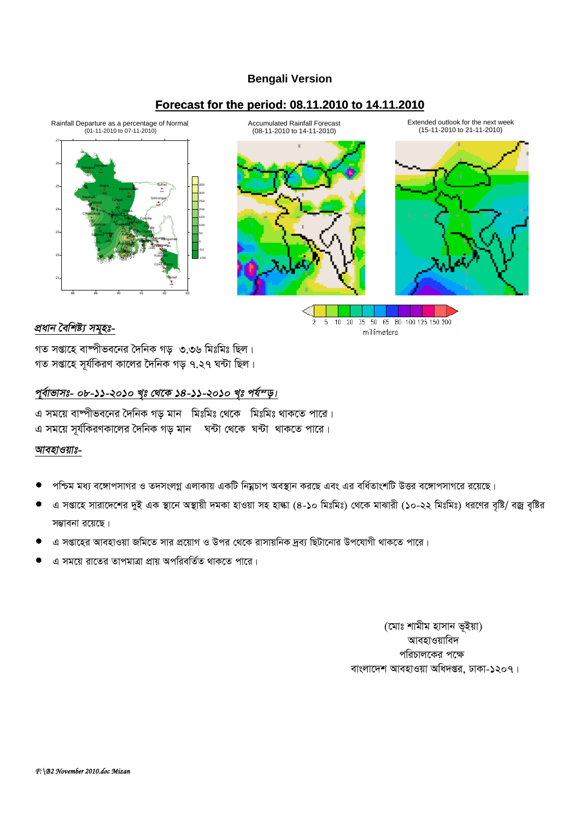### **Bengali Version**

## **Forecast for the period: 08.11.2010 to 14.11.2010**



Accumulated Rainfall Forecast (08-11-2010 to 14-11-2010)

Extended outlook for the next week (15-11-2010 to 21-11-2010)



#### 5 10 20 35 50 65 80 100 125 150 200 2 millimeters

# *প্ৰধান বৈশিষ্ট্য সমুহঃ-*

গত সপ্তাহে বাম্পীভবনের দৈনিক গড় ৩.৩৬ মিঃমিঃ ছিল। গত সপ্তাহে সূৰ্যকিৱণ কালেৱ দৈনিক গড় ৭.২৭ ঘন্টা ছিল।

#### পূৰ্বাভাসঃ- ০৮-১১-২০১০ খৃঃ থেকে ১৪-১১-২০১০ খৃঃ পৰ্য<sup>ন</sup>ড়।

এ সময়ে বাষ্পীভবনের দৈনিক গড মান মিঃমিঃ থেকে মিঃমিঃ থাকতে পারে। এ সময়ে সূর্যকিরণকালের দৈনিক গড় মান ঘন্টা থেকে ঘন্টা থাকতে পারে।

#### <u>আবহাওয়াঃ-</u>

- পশ্চিম মধ্য বঙ্গোপসাগর ও তদসংলগ্ন এলাকায় একটি নিয়ুচাপ অবস্থান করছে এবং এর বর্ধিতাংশটি উত্তর বঙ্গোপসাগরে রয়েছে।
- এ সপ্তাহে সারাদেশের দুই এক স্থানে অস্থায়ী দমকা হাওয়া সহ হাল্কা (৪-১০ মিঃমিঃ) থেকে মাঝারী (১০-২২ মিঃমিঃ) ধরণের বৃষ্টি/ বজ্র বৃষ্টির সম্ভাবনা রয়েছে।
- এ সপ্তাহের আবহাওয়া জমিতে সার প্রয়োগ ও উপর থেকে রাসায়নিক দ্রব্য ছিটানোর উপযোগী থাকতে পারে।
- এ সময়ে রাতের তাপমাত্রা প্রায় অপরিবর্তিত থাকতে পারে।

(মোঃ শামীম হাসান ভূইয়া) আবহাওয়াবিদ পরিচালকের পক্ষে বাংলাদেশ আবহাওয়া অধিদপ্তর, ঢাকা-১২০৭।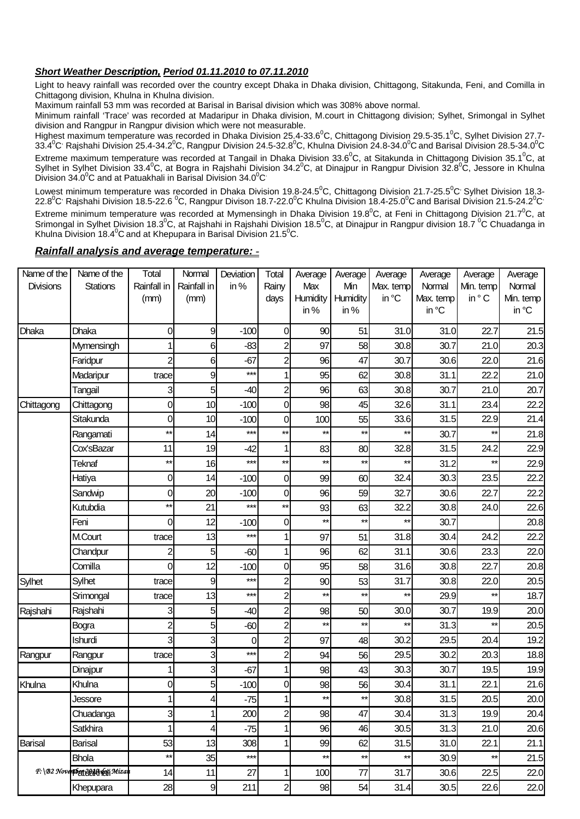#### **Short Weather Description, Period 01.11.2010 to 07.11.2010**

Light to heavy rainfall was recorded over the country except Dhaka in Dhaka division, Chittagong, Sitakunda, Feni, and Comilla in Chittagong division, Khulna in Khulna division.

Maximum rainfall 53 mm was recorded at Barisal in Barisal division which was 308% above normal.

Minimum rainfall 'Trace' was recorded at Madaripur in Dhaka division, M.court in Chittagong division; Sylhet, Srimongal in Sylhet division and Rangpur in Rangpur division which were not measurable.

Highest maximum temperature was recorded in Dhaka Division 25.4-33.6<sup>°</sup>C, Chittagong Division 29.5-35.1<sup>°</sup>C, Sylhet Division 27.7-33.4<sup>0</sup>C<sup>,</sup> Rajshahi Division 25.4-34.2<sup>0</sup>C, Rangpur Division 24.5-32.8<sup>0</sup>C, Khulna Division 24.8-34.0<sup>0</sup>C and Barisal Division 28.5-34.0<sup>0</sup>C

Extreme maximum temperature was recorded at Tangail in Dhaka Division 33.6<sup>0</sup>C, at Sitakunda in Chittagong Division 35.1<sup>0</sup>C, at Sylhet in Sylhet Division 33.4<sup>0</sup>C, at Bogra in Rajshahi Division 34.2<sup>0</sup>C, at Dinajpur in Rangpur Division 32.8<sup>0</sup>C, Jessore in Khulna Division  $34.0^{\circ}$ C and at Patuakhali in Barisal Division  $34.0^{\circ}$ C

Lowest minimum temperature was recorded in Dhaka Division 19.8-24.5<sup>0</sup>C, Chittagong Division 21.7-25.5<sup>0</sup>C' Sylhet Division 18.3-22.8<sup>0</sup>C<sup>,</sup> Rajshahi Division 18.5-22.6 <sup>0</sup>C, Rangpur Divison 18.7-22.0<sup>0</sup>C Khulna Division 18.4-25.0<sup>0</sup>C and Barisal Division 21.5-24.2<sup>0</sup>C

Extreme minimum temperature was recorded at Mymensingh in Dhaka Division 19.8<sup>0</sup>C, at Feni in Chittagong Division 21.7<sup>0</sup>C, at Srimongal in Sylhet Division 18.3<sup>0</sup>C, at Rajshahi in Rajshahi Division 18.5<sup>0</sup>C, at Dinajpur in Rangpur division 18.7<sup>0</sup>C Chuadanga in Khulna Division 18.4 $\mathrm{^{0}C}$  and at Khepupara in Barisal Division 21.5 $\mathrm{^{0}C}$ .

#### *Rainfall analysis and average temperature: -*

| Name of the      | Name of the                      | Total           | Normal         | Deviation       | Total          | Average         | Average      | Average         | Average   | Average      | Average   |
|------------------|----------------------------------|-----------------|----------------|-----------------|----------------|-----------------|--------------|-----------------|-----------|--------------|-----------|
| <b>Divisions</b> | <b>Stations</b>                  | Rainfall in     | Rainfall in    | in%             | Rainy          | Max             | Min          | Max. temp       | Normal    | Min. temp    | Normal    |
|                  |                                  | (mm)            | (mm)           |                 | days           | Humidity        | Humidity     | in °C           | Max. temp | in °C        | Min. temp |
|                  |                                  |                 |                |                 |                | in%             | in $%$       |                 | in °C     |              | in °C     |
| Dhaka            | Dhaka                            | 0               | 9              | $-100$          | 0              | 90              | 51           | 31.0            | 31.0      | 22.7         | 21.5      |
|                  | Mymensingh                       |                 | 6              | $-83$           | $\mathsf{2}$   | 97              | 58           | 30.8            | 30.7      | 21.0         | 20.3      |
|                  | Faridpur                         | $\overline{2}$  | 6              | $-67$           | $\overline{c}$ | 96              | 47           | 30.7            | 30.6      | 22.0         | 21.6      |
|                  | Madaripur                        | trace           | 9              | $***$           | $\mathbf{1}$   | 95              | 62           | 30.8            | 31.1      | 22.2         | 21.0      |
|                  | Tangail                          | 3               | 5              | $-40$           | $\mathsf{2}$   | 96              | 63           | 30.8            | 30.7      | 21.0         | 20.7      |
| Chittagong       | Chittagong                       | 0               | 10             | $-100$          | 0              | 98              | 45           | 32.6            | 31.1      | 23.4         | 22.2      |
|                  | Sitakunda                        | 0               | 10             | $-100$          | 0              | 100             | 55           | 33.6            | 31.5      | 22.9         | 21.4      |
|                  | Rangamati                        | $^{\star\star}$ | 14             | ***             | $\star\star$   | $\star\star$    | $\star\star$ | $\star\star$    | 30.7      | $\star\star$ | 21.8      |
|                  | Cox'sBazar                       | 11              | 19             | $-42$           | 1              | 83              | 80           | 32.8            | 31.5      | 24.2         | 22.9      |
|                  | Teknaf                           | $\star\star$    | 16             | $***$           | $\star\star$   | $\star\star$    | $\star\star$ | $^{\star\star}$ | 31.2      | $\star\star$ | 22.9      |
|                  | Hatiya                           | 0               | 14             | $-100$          | 0              | 99              | 60           | 32.4            | 30.3      | 23.5         | 22.2      |
|                  | Sandwip                          | 0               | 20             | $-100$          | 0              | 96              | 59           | 32.7            | 30.6      | 22.7         | 22.2      |
|                  | Kutubdia                         | $^{\star\star}$ | 21             | $***$           | $***$          | 93              | 63           | 32.2            | 30.8      | 24.0         | 22.6      |
|                  | Feni                             | 0               | 12             | $-100$          | 0              | $***$           | $\star\star$ | $^{\star\star}$ | 30.7      |              | 20.8      |
|                  | M.Court                          | trace           | 13             | $***$           | $\mathbf{1}$   | 97              | 51           | 31.8            | 30.4      | 24.2         | 22.2      |
|                  | Chandpur                         | 2               | 5              | $-60$           | 11             | 96              | 62           | 31.1            | 30.6      | 23.3         | 22.0      |
|                  | Comilla                          | 0               | 12             | $-100$          | 0              | 95              | 58           | 31.6            | 30.8      | 22.7         | 20.8      |
| Sylhet           | Sylhet                           | trace           | 9              | $***$           | 2              | 90              | 53           | 31.7            | 30.8      | 22.0         | 20.5      |
|                  | Srimongal                        | trace           | 13             | $***$           | $\mathsf{2}$   | $\star\star$    | $\star\star$ | $\star\star$    | 29.9      | $\star\star$ | 18.7      |
| Rajshahi         | Rajshahi                         | 3               | 5              | $-40$           | $\mathsf{2}$   | 98              | 50           | 30.0            | 30.7      | 19.9         | 20.0      |
|                  | <b>Bogra</b>                     | $\overline{c}$  | 5              | $-60$           | $\overline{c}$ | $\star\star$    | $\star\star$ | $\star\star$    | 31.3      | $\star\star$ | 20.5      |
|                  | Ishurdi                          | 3               | 3              | 0               | $\overline{c}$ | 97              | 48           | 30.2            | 29.5      | 20.4         | 19.2      |
| Rangpur          | Rangpur                          | trace           | 3              | $***$           | $\overline{2}$ | 94              | 56           | 29.5            | 30.2      | 20.3         | 18.8      |
|                  | Dinajpur                         |                 | 3              | $-67$           | $\mathbf{1}$   | 98              | 43           | 30.3            | 30.7      | 19.5         | 19.9      |
| Khulna           | Khulna                           | 0               | 5              | $-100$          | 0              | 98              | 56           | 30.4            | 31.1      | 22.1         | 21.6      |
|                  | Jessore                          |                 | 4              | $-75$           | 11             | $^{\star\star}$ | $\star\star$ | 30.8            | 31.5      | 20.5         | 20.0      |
|                  | Chuadanga                        | 3               | 1              | 200             | $\overline{c}$ | 98              | 47           | 30.4            | 31.3      | 19.9         | 20.4      |
|                  | Satkhira                         | 1               | 4              | $-75$           | $\mathbf{1}$   | 96              | 46           | 30.5            | 31.3      | 21.0         | 20.6      |
| Barisal          | Barisal                          | 53              | 13             | 308             | 1              | 99              | 62           | 31.5            | 31.0      | 22.1         | 21.1      |
|                  | <b>Bhola</b>                     | $^{\star\star}$ | 35             | $***$           |                | $\star\star$    | $\star\star$ | $\star\star$    | 30.9      | $\star\star$ | 21.5      |
|                  | F: \B2 Noverpben 2010 refi Mizan | 14              | 11             | $\overline{27}$ | $\mathbf{1}$   | 100             | 77           | 31.7            | 30.6      | 22.5         | 22.0      |
|                  | Khepupara                        | 28              | $\overline{9}$ | 211             | $\overline{2}$ | 98              | 54           | 31.4            | 30.5      | 22.6         | 22.0      |